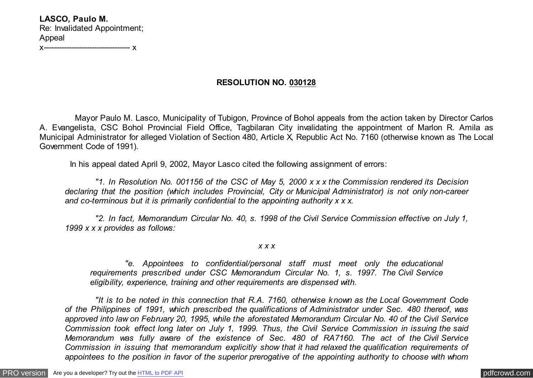**LASCO, Paulo M.** Re: Invalidated Appointment; Appeal x---------------------------------- x

## **RESOLUTION NO. 030128**

 Mayor Paulo M. Lasco, Municipality of Tubigon, Province of Bohol appeals from the action taken by Director Carlos A. Evangelista, CSC Bohol Provincial Field Office, Tagbilaran City invalidating the appointment of Marlon R. Amila as Municipal Administrator for alleged Violation of Section 480, Article X, Republic Act No. 7160 (otherwise known as The Local Government Code of 1991).

In his appeal dated April 9, 2002, Mayor Lasco cited the following assignment of errors:

 *"1. In Resolution No. 001156 of the CSC of May 5, 2000 x x x the Commission rendered its Decision declaring that the position (which includes Provincial, City or Municipal Administrator) is not only non-career and co-terminous but it is primarily confidential to the appointing authority x x x.*

 *"2. In fact, Memorandum Circular No. 40, s. 1998 of the Civil Service Commission effective on July 1, 1999 x x x provides as follows:*

### *x x x*

 *"e. Appointees to confidential/personal staff must meet only the educational requirements prescribed under CSC Memorandum Circular No. 1, s. 1997. The Civil Service eligibility, experience, training and other requirements are dispensed with.*

 *"It is to be noted in this connection that R.A. 7160, otherwise known as the Local Government Code of the Philippines of 1991, which prescribed the qualifications of Administrator under Sec. 480 thereof, was approved into law on February 20, 1995, while the aforestated Memorandum Circular No. 40 of the Civil Service Commission took effect long later on July 1, 1999. Thus, the Civil Service Commission in issuing the said Memorandum was fully aware of the existence of Sec. 480 of RA7160. The act of the Civil Service Commission in issuing that memorandum explicitly show that it had relaxed the qualification requirements of appointees to the position in favor of the superior prerogative of the appointing authority to choose with whom*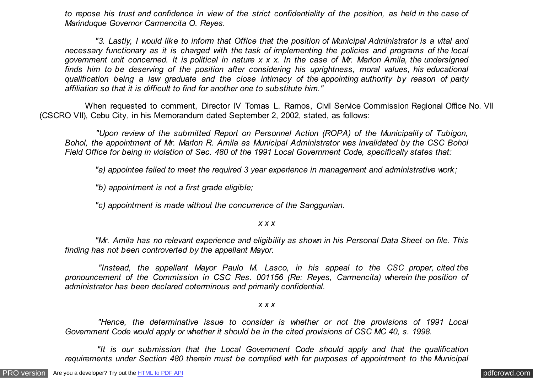*to repose his trust and confidence in view of the strict confidentiality of the position, as held in the case of Marinduque Governor Carmencita O. Reyes.*

 *"3. Lastly, I would like to inform that Office that the position of Municipal Administrator is a vital and necessary functionary as it is charged with the task of implementing the policies and programs of the local government unit concerned. It is political in nature x x x. In the case of Mr. Marlon Amila, the undersigned finds him to be deserving of the position after considering his uprightness, moral values, his educational qualification being a law graduate and the close intimacy of the appointing authority by reason of party affiliation so that it is difficult to find for another one to substitute him."*

 When requested to comment, Director IV Tomas L. Ramos, Civil Service Commission Regional Office No. VII (CSCRO VII), Cebu City, in his Memorandum dated September 2, 2002, stated, as follows:

 *"Upon review of the submitted Report on Personnel Action (ROPA) of the Municipality of Tubigon, Bohol, the appointment of Mr. Marlon R. Amila as Municipal Administrator was invalidated by the CSC Bohol Field Office for being in violation of Sec. 480 of the 1991 Local Government Code, specifically states that:*

 *"a) appointee failed to meet the required 3 year experience in management and administrative work;*

 *"b) appointment is not a first grade eligible;*

 *"c) appointment is made without the concurrence of the Sanggunian.*

*x x x*

 *"Mr. Amila has no relevant experience and eligibility as shown in his Personal Data Sheet on file. This finding has not been controverted by the appellant Mayor.*

 *"Instead, the appellant Mayor Paulo M. Lasco, in his appeal to the CSC proper, cited the pronouncement of the Commission in CSC Res. 001156 (Re: Reyes, Carmencita) wherein the position of administrator has been declared coterminous and primarily confidential.*

*x x x*

 *"Hence, the determinative issue to consider is whether or not the provisions of 1991 Local Government Code would apply or whether it should be in the cited provisions of CSC MC 40, s. 1998.*

 *"It is our submission that the Local Government Code should apply and that the qualification requirements under Section 480 therein must be complied with for purposes of appointment to the Municipal*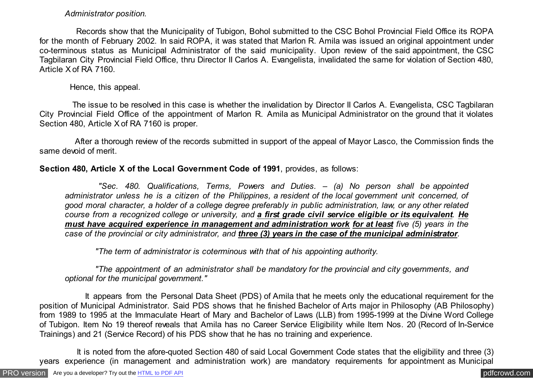### *Administrator position.*

 Records show that the Municipality of Tubigon, Bohol submitted to the CSC Bohol Provincial Field Office its ROPA for the month of February 2002. In said ROPA, it was stated that Marlon R. Amila was issued an original appointment under co-terminous status as Municipal Administrator of the said municipality. Upon review of the said appointment, the CSC Tagbilaran City Provincial Field Office, thru Director II Carlos A. Evangelista, invalidated the same for violation of Section 480, Article X of RA 7160.

Hence, this appeal.

 The issue to be resolved in this case is whether the invalidation by Director II Carlos A. Evangelista, CSC Tagbilaran City Provincial Field Office of the appointment of Marlon R. Amila as Municipal Administrator on the ground that it violates Section 480, Article X of RA 7160 is proper.

 After a thorough review of the records submitted in support of the appeal of Mayor Lasco, the Commission finds the same devoid of merit.

# **Section 480, Article X of the Local Government Code of 1991**, provides, as follows:

 *"Sec. 480. Qualifications, Terms, Powers and Duties. – (a) No person shall be appointed administrator unless he is a citizen of the Philippines, a resident of the local government unit concerned, of good moral character, a holder of a college degree preferably in public administration, law, or any other related course from a recognized college or university, and a first grade civil service eligible or its equivalent. He must have acquired experience in management and administration work for at least five (5) years in the case of the provincial or city administrator, and three (3) years in the case of the municipal administrator.*

 *"The term of administrator is coterminous with that of his appointing authority.*

 *"The appointment of an administrator shall be mandatory for the provincial and city governments, and optional for the municipal government."*

 It appears from the Personal Data Sheet (PDS) of Amila that he meets only the educational requirement for the position of Municipal Administrator. Said PDS shows that he finished Bachelor of Arts major in Philosophy (AB Philosophy) from 1989 to 1995 at the Immaculate Heart of Mary and Bachelor of Laws (LLB) from 1995-1999 at the Divine Word College of Tubigon. Item No 19 thereof reveals that Amila has no Career Service Eligibility while Item Nos. 20 (Record of In-Service Trainings) and 21 (Service Record) of his PDS show that he has no training and experience.

 It is noted from the afore-quoted Section 480 of said Local Government Code states that the eligibility and three (3) years experience (in management and administration work) are mandatory requirements for appointment as Municipal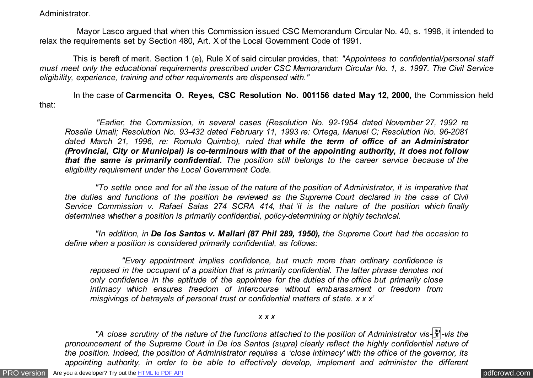Administrator.

 Mayor Lasco argued that when this Commission issued CSC Memorandum Circular No. 40, s. 1998, it intended to relax the requirements set by Section 480, Art. X of the Local Government Code of 1991.

 This is bereft of merit. Section 1 (e), Rule X of said circular provides, that: *"Appointees to confidential/personal staff must meet only the educational requirements prescribed under CSC Memorandum Circular No. 1, s. 1997. The Civil Service eligibility, experience, training and other requirements are dispensed with."*

 In the case of **Carmencita O. Reyes, CSC Resolution No. 001156 dated May 12, 2000,** the Commission held that:

 *"Earlier, the Commission, in several cases (Resolution No. 92-1954 dated November 27, 1992 re Rosalia Umali; Resolution No. 93-432 dated February 11, 1993 re: Ortega, Manuel C; Resolution No. 96-2081 dated March 21, 1996, re: Romulo Quimbo), ruled that while the term of office of an Administrator (Provincial, City or Municipal) is co-terminous with that of the appointing authority, it does not follow that the same is primarily confidential. The position still belongs to the career service because of the eligibility requirement under the Local Government Code.*

 *"To settle once and for all the issue of the nature of the position of Administrator, it is imperative that the duties and functions of the position be reviewed as the Supreme Court declared in the case of Civil Service Commission v. Rafael Salas 274 SCRA 414, that 'it is the nature of the position which finally determines whether a position is primarily confidential, policy-determining or highly technical.*

 *"In addition, in De los Santos v. Mallari (87 Phil 289, 1950), the Supreme Court had the occasion to define when a position is considered primarily confidential, as follows:*

 *"Every appointment implies confidence, but much more than ordinary confidence is reposed in the occupant of a position that is primarily confidential. The latter phrase denotes not only confidence in the aptitude of the appointee for the duties of the office but primarily close intimacy which ensures freedom of intercourse without embarassment or freedom from misgivings of betrayals of personal trust or confidential matters of state. x x x'*

### *x x x*

 *"A close scrutiny of the nature of the functions attached to the position of Administrator vis-*�*-vis the pronouncement of the Supreme Court in De los Santos (supra) clearly reflect the highly confidential nature of the position. Indeed, the position of Administrator requires a 'close intimacy' with the office of the governor, its appointing authority, in order to be able to effectively develop, implement and administer the different*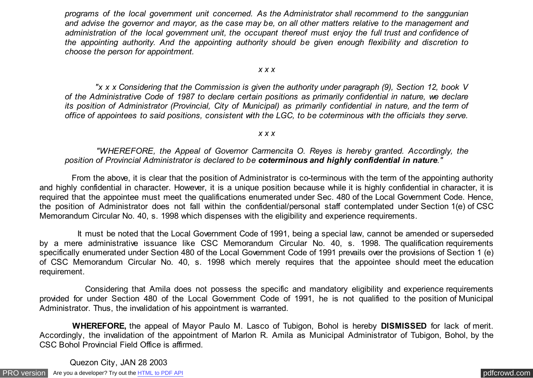*programs of the local government unit concerned. As the Administrator shall recommend to the sanggunian and advise the governor and mayor, as the case may be, on all other matters relative to the management and administration of the local government unit, the occupant thereof must enjoy the full trust and confidence of the appointing authority. And the appointing authority should be given enough flexibility and discretion to choose the person for appointment.*

#### *x x x*

 *"x x x Considering that the Commission is given the authority under paragraph (9), Section 12, book V of the Administrative Code of 1987 to declare certain positions as primarily confidential in nature, we declare its position of Administrator (Provincial, City of Municipal) as primarily confidential in nature, and the term of office of appointees to said positions, consistent with the LGC, to be coterminous with the officials they serve.*

#### *x x x*

## *"WHEREFORE, the Appeal of Governor Carmencita O. Reyes is hereby granted. Accordingly, the position of Provincial Administrator is declared to be coterminous and highly confidential in nature."*

 From the above, it is clear that the position of Administrator is co-terminous with the term of the appointing authority and highly confidential in character. However, it is a unique position because while it is highly confidential in character, it is required that the appointee must meet the qualifications enumerated under Sec. 480 of the Local Government Code. Hence, the position of Administrator does not fall within the confidential/personal staff contemplated under Section 1(e) of CSC Memorandum Circular No. 40, s. 1998 which dispenses with the eligibility and experience requirements.

 It must be noted that the Local Government Code of 1991, being a special law, cannot be amended or superseded by a mere administrative issuance like CSC Memorandum Circular No. 40, s. 1998. The qualification requirements specifically enumerated under Section 480 of the Local Government Code of 1991 prevails over the provisions of Section 1 (e) of CSC Memorandum Circular No. 40, s. 1998 which merely requires that the appointee should meet the education requirement.

 Considering that Amila does not possess the specific and mandatory eligibility and experience requirements provided for under Section 480 of the Local Government Code of 1991, he is not qualified to the position of Municipal Administrator. Thus, the invalidation of his appointment is warranted.

 **WHEREFORE,** the appeal of Mayor Paulo M. Lasco of Tubigon, Bohol is hereby **DISMISSED** for lack of merit. Accordingly, the invalidation of the appointment of Marlon R. Amila as Municipal Administrator of Tubigon, Bohol, by the CSC Bohol Provincial Field Office is affirmed.

Quezon City, JAN 28 2003

[PRO version](http://pdfcrowd.com/customize/) Are you a developer? Try out th[e HTML to PDF API](http://pdfcrowd.com/html-to-pdf-api/?ref=pdf) process and the example of the HTML to PDF API [pdfcrowd.com](http://pdfcrowd.com)